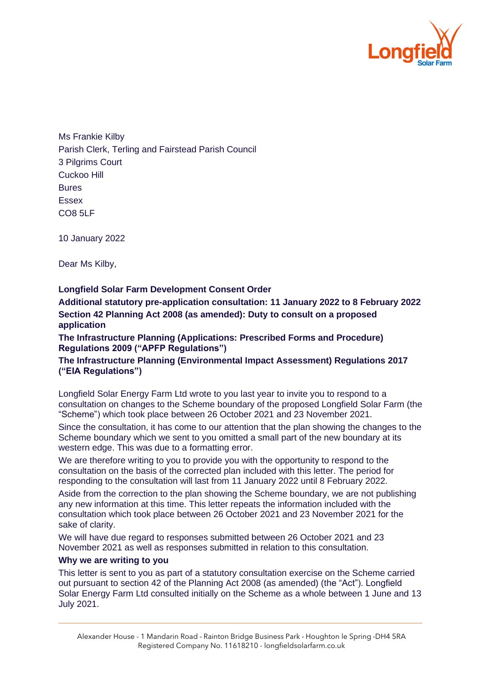

Ms Frankie Kilby Parish Clerk, Terling and Fairstead Parish Council 3 Pilgrims Court Cuckoo Hill Bures Essex CO8 5LF

10 January 2022

Dear Ms Kilby,

**Longfield Solar Farm Development Consent Order** 

**Additional statutory pre-application consultation: 11 January 2022 to 8 February 2022 Section 42 Planning Act 2008 (as amended): Duty to consult on a proposed application**

**The Infrastructure Planning (Applications: Prescribed Forms and Procedure) Regulations 2009 ("APFP Regulations")**

**The Infrastructure Planning (Environmental Impact Assessment) Regulations 2017 ("EIA Regulations")** 

Longfield Solar Energy Farm Ltd wrote to you last year to invite you to respond to a consultation on changes to the Scheme boundary of the proposed Longfield Solar Farm (the "Scheme") which took place between 26 October 2021 and 23 November 2021.

Since the consultation, it has come to our attention that the plan showing the changes to the Scheme boundary which we sent to you omitted a small part of the new boundary at its western edge. This was due to a formatting error.

We are therefore writing to you to provide you with the opportunity to respond to the consultation on the basis of the corrected plan included with this letter. The period for responding to the consultation will last from 11 January 2022 until 8 February 2022.

Aside from the correction to the plan showing the Scheme boundary, we are not publishing any new information at this time. This letter repeats the information included with the consultation which took place between 26 October 2021 and 23 November 2021 for the sake of clarity.

We will have due regard to responses submitted between 26 October 2021 and 23 November 2021 as well as responses submitted in relation to this consultation.

## **Why we are writing to you**

This letter is sent to you as part of a statutory consultation exercise on the Scheme carried out pursuant to section 42 of the Planning Act 2008 (as amended) (the "Act"). Longfield Solar Energy Farm Ltd consulted initially on the Scheme as a whole between 1 June and 13 July 2021.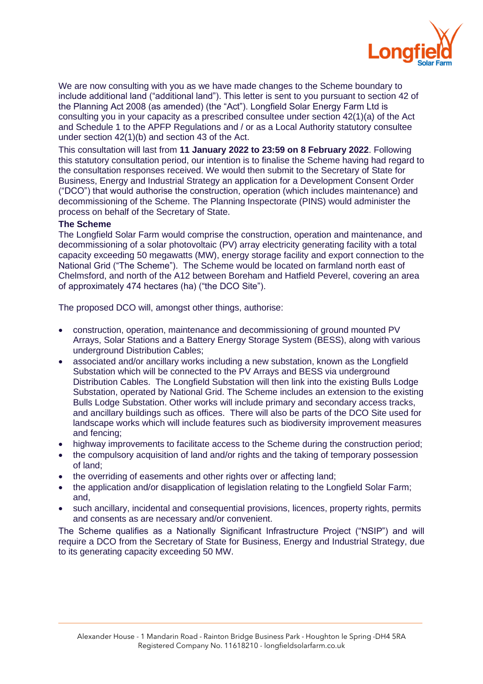

We are now consulting with you as we have made changes to the Scheme boundary to include additional land ("additional land"). This letter is sent to you pursuant to section 42 of the Planning Act 2008 (as amended) (the "Act"). Longfield Solar Energy Farm Ltd is consulting you in your capacity as a prescribed consultee under section 42(1)(a) of the Act and Schedule 1 to the APFP Regulations and / or as a Local Authority statutory consultee under section 42(1)(b) and section 43 of the Act.

This consultation will last from **11 January 2022 to 23:59 on 8 February 2022**. Following this statutory consultation period, our intention is to finalise the Scheme having had regard to the consultation responses received. We would then submit to the Secretary of State for Business, Energy and Industrial Strategy an application for a Development Consent Order ("DCO") that would authorise the construction, operation (which includes maintenance) and decommissioning of the Scheme. The Planning Inspectorate (PINS) would administer the process on behalf of the Secretary of State.

## **The Scheme**

The Longfield Solar Farm would comprise the construction, operation and maintenance, and decommissioning of a solar photovoltaic (PV) array electricity generating facility with a total capacity exceeding 50 megawatts (MW), energy storage facility and export connection to the National Grid ("The Scheme"). The Scheme would be located on farmland north east of Chelmsford, and north of the A12 between Boreham and Hatfield Peverel, covering an area of approximately 474 hectares (ha) ("the DCO Site").

The proposed DCO will, amongst other things, authorise:

- construction, operation, maintenance and decommissioning of ground mounted PV Arrays, Solar Stations and a Battery Energy Storage System (BESS), along with various underground Distribution Cables;
- associated and/or ancillary works including a new substation, known as the Longfield Substation which will be connected to the PV Arrays and BESS via underground Distribution Cables. The Longfield Substation will then link into the existing Bulls Lodge Substation, operated by National Grid. The Scheme includes an extension to the existing Bulls Lodge Substation. Other works will include primary and secondary access tracks, and ancillary buildings such as offices. There will also be parts of the DCO Site used for landscape works which will include features such as biodiversity improvement measures and fencing;
- highway improvements to facilitate access to the Scheme during the construction period;
- the compulsory acquisition of land and/or rights and the taking of temporary possession of land;
- the overriding of easements and other rights over or affecting land;
- the application and/or disapplication of legislation relating to the Longfield Solar Farm; and,
- such ancillary, incidental and consequential provisions, licences, property rights, permits and consents as are necessary and/or convenient.

The Scheme qualifies as a Nationally Significant Infrastructure Project ("NSIP") and will require a DCO from the Secretary of State for Business, Energy and Industrial Strategy, due to its generating capacity exceeding 50 MW.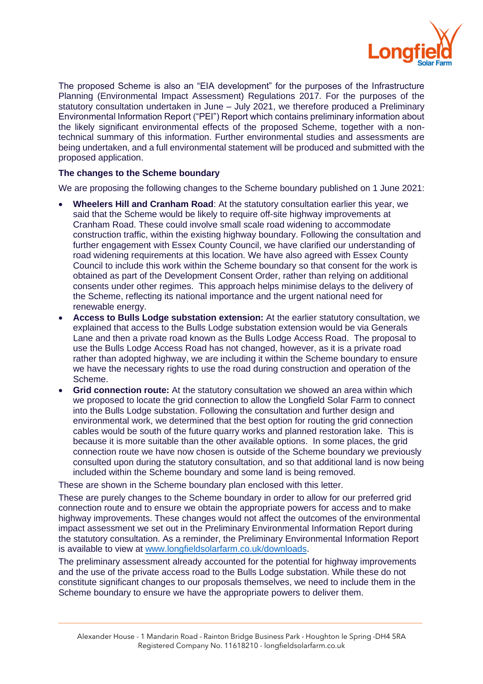

The proposed Scheme is also an "EIA development" for the purposes of the Infrastructure Planning (Environmental Impact Assessment) Regulations 2017. For the purposes of the statutory consultation undertaken in June – July 2021, we therefore produced a Preliminary Environmental Information Report ("PEI") Report which contains preliminary information about the likely significant environmental effects of the proposed Scheme, together with a nontechnical summary of this information. Further environmental studies and assessments are being undertaken, and a full environmental statement will be produced and submitted with the proposed application.

## **The changes to the Scheme boundary**

We are proposing the following changes to the Scheme boundary published on 1 June 2021:

- **Wheelers Hill and Cranham Road**: At the statutory consultation earlier this year, we said that the Scheme would be likely to require off-site highway improvements at Cranham Road. These could involve small scale road widening to accommodate construction traffic, within the existing highway boundary. Following the consultation and further engagement with Essex County Council, we have clarified our understanding of road widening requirements at this location. We have also agreed with Essex County Council to include this work within the Scheme boundary so that consent for the work is obtained as part of the Development Consent Order, rather than relying on additional consents under other regimes. This approach helps minimise delays to the delivery of the Scheme, reflecting its national importance and the urgent national need for renewable energy.
- **Access to Bulls Lodge substation extension:** At the earlier statutory consultation, we explained that access to the Bulls Lodge substation extension would be via Generals Lane and then a private road known as the Bulls Lodge Access Road. The proposal to use the Bulls Lodge Access Road has not changed, however, as it is a private road rather than adopted highway, we are including it within the Scheme boundary to ensure we have the necessary rights to use the road during construction and operation of the Scheme.
- **Grid connection route:** At the statutory consultation we showed an area within which we proposed to locate the grid connection to allow the Longfield Solar Farm to connect into the Bulls Lodge substation. Following the consultation and further design and environmental work, we determined that the best option for routing the grid connection cables would be south of the future quarry works and planned restoration lake. This is because it is more suitable than the other available options. In some places, the grid connection route we have now chosen is outside of the Scheme boundary we previously consulted upon during the statutory consultation, and so that additional land is now being included within the Scheme boundary and some land is being removed.

These are shown in the Scheme boundary plan enclosed with this letter.

These are purely changes to the Scheme boundary in order to allow for our preferred grid connection route and to ensure we obtain the appropriate powers for access and to make highway improvements. These changes would not affect the outcomes of the environmental impact assessment we set out in the Preliminary Environmental Information Report during the statutory consultation. As a reminder, the Preliminary Environmental Information Report is available to view at [www.longfieldsolarfarm.co.uk/downloads.](http://www.longfieldsolarfarm.co.uk/downloads)

The preliminary assessment already accounted for the potential for highway improvements and the use of the private access road to the Bulls Lodge substation. While these do not constitute significant changes to our proposals themselves, we need to include them in the Scheme boundary to ensure we have the appropriate powers to deliver them.